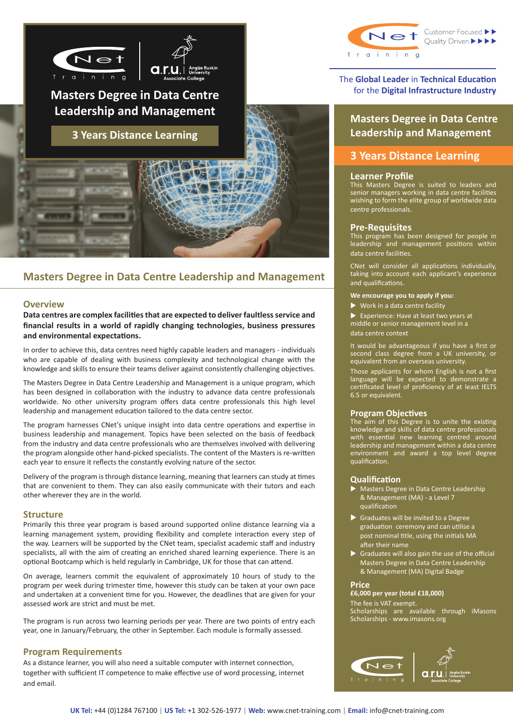



# **Masters Degree in Data Centre Leadership and Management**

**3 Years Distance Learning**

# **Masters Degree in Data Centre Leadership and Management**

# **Overview**

**Data centres are complex facilities that are expected to deliver faultless service and financial results in a world of rapidly changing technologies, business pressures and environmental expectations.**

In order to achieve this, data centres need highly capable leaders and managers - individuals who are capable of dealing with business complexity and technological change with the knowledge and skills to ensure their teams deliver against consistently challenging objectives.

The Masters Degree in Data Centre Leadership and Management is a unique program, which has been designed in collaboration with the industry to advance data centre professionals worldwide. No other university program offers data centre professionals this high level leadership and management education tailored to the data centre sector.

The program harnesses CNet's unique insight into data centre operations and expertise in business leadership and management. Topics have been selected on the basis of feedback from the industry and data centre professionals who are themselves involved with delivering the program alongside other hand-picked specialists. The content of the Masters is re-written each year to ensure it reflects the constantly evolving nature of the sector.

Delivery of the program is through distance learning, meaning that learners can study at times that are convenient to them. They can also easily communicate with their tutors and each other wherever they are in the world.

#### **Structure**

Primarily this three year program is based around supported online distance learning via a learning management system, providing flexibility and complete interaction every step of the way. Learners will be supported by the CNet team, specialist academic staff and industry specialists, all with the aim of creating an enriched shared learning experience. There is an optional Bootcamp which is held regularly in Cambridge, UK for those that can attend.

On average, learners commit the equivalent of approximately 10 hours of study to the program per week during trimester time, however this study can be taken at your own pace and undertaken at a convenient time for you. However, the deadlines that are given for your assessed work are strict and must be met.

The program is run across two learning periods per year. There are two points of entry each year, one in January/February, the other in September. Each module is formally assessed.

## **Program Requirements**

As a distance learner, you will also need a suitable computer with internet connection, together with sufficient IT competence to make effective use of word processing, internet and email.



# The **Global Leader** in **Technical Education**  for the **Digital Infrastructure Industry**

**Masters Degree in Data Centre Leadership and Management**

# **3 Years Distance Learning**

## **Learner Profile**

This Masters Degree is suited to leaders and senior managers working in data centre facilities wishing to form the elite group of worldwide data centre professionals.

## **Pre-Requisites**

This program has been designed for people in leadership and management positions within data centre facilities.

CNet will consider all applications individually, taking into account each applicant's experience and qualifications.

**We encourage you to apply if you:**

 $\blacktriangleright$  Work in a data centre facility

 $\blacktriangleright$  Experience: Have at least two years at middle or senior management level in a

data centre context

It would be advantageous if you have a first or second class degree from a UK university, or equivalent from an overseas university.

Those applicants for whom English is not a first language will be expected to demonstrate a certificated level of proficiency of at least IELTS 6.5 or equivalent.

### **Program Objectives**

The aim of this Degree is to unite the existing knowledge and skills of data centre professionals with essential new learning centred around leadership and management within a data centre environment and award a top level degree qualification.

#### **Qualification**

- Masters Degree in Data Centre Leadership & Management (MA) - a Level 7 qualification
- $\blacktriangleright$  Graduates will be invited to a Degree graduation ceremony and can utilise a post nominal title, using the initials MA after their name
- $\triangleright$  Graduates will also gain the use of the official Masters Degree in Data Centre Leadership & Management (MA) Digital Badge

# **Price**

# **£6,000 per year (total £18,000)**

The fee is VAT exempt. Scholarships are available through iMasons Scholarships - www.imasons.org